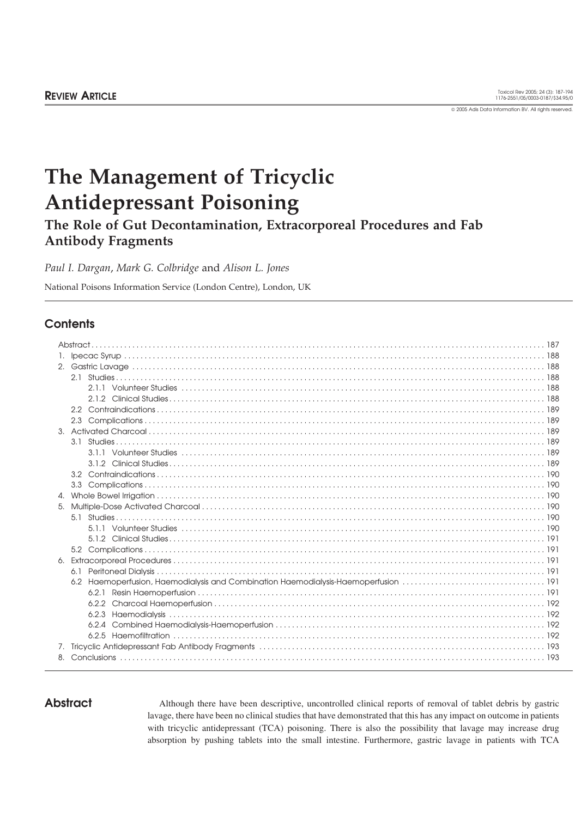2005 Adis Data Information BV. All rights reserved.

# **The Management of Tricyclic Antidepressant Poisoning**

# **The Role of Gut Decontamination, Extracorporeal Procedures and Fab Antibody Fragments**

*Paul I. Dargan*, *Mark G. Colbridge* and *Alison L. Jones*

National Poisons Information Service (London Centre), London, UK

## **Contents**

|  | 2.2   |  |
|--|-------|--|
|  | 2.3   |  |
|  |       |  |
|  |       |  |
|  |       |  |
|  |       |  |
|  |       |  |
|  |       |  |
|  |       |  |
|  |       |  |
|  |       |  |
|  |       |  |
|  |       |  |
|  |       |  |
|  |       |  |
|  |       |  |
|  |       |  |
|  | 6.2.1 |  |
|  |       |  |
|  |       |  |
|  |       |  |
|  |       |  |
|  |       |  |
|  |       |  |

**Abstract** Although there have been descriptive, uncontrolled clinical reports of removal of tablet debris by gastric lavage, there have been no clinical studies that have demonstrated that this has any impact on outcome in patients with tricyclic antidepressant (TCA) poisoning. There is also the possibility that lavage may increase drug absorption by pushing tablets into the small intestine. Furthermore, gastric lavage in patients with TCA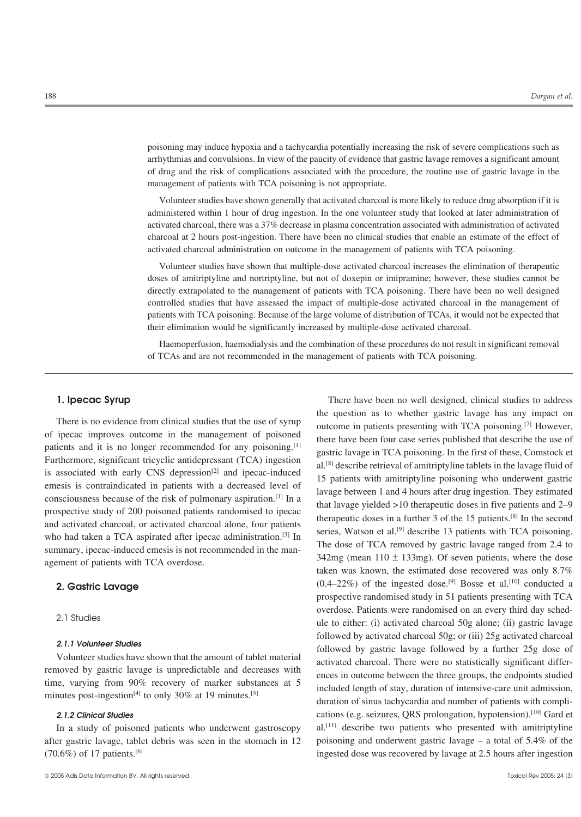poisoning may induce hypoxia and a tachycardia potentially increasing the risk of severe complications such as arrhythmias and convulsions. In view of the paucity of evidence that gastric lavage removes a significant amount of drug and the risk of complications associated with the procedure, the routine use of gastric lavage in the management of patients with TCA poisoning is not appropriate.

Volunteer studies have shown generally that activated charcoal is more likely to reduce drug absorption if it is administered within 1 hour of drug ingestion. In the one volunteer study that looked at later administration of activated charcoal, there was a 37% decrease in plasma concentration associated with administration of activated charcoal at 2 hours post-ingestion. There have been no clinical studies that enable an estimate of the effect of activated charcoal administration on outcome in the management of patients with TCA poisoning.

Volunteer studies have shown that multiple-dose activated charcoal increases the elimination of therapeutic doses of amitriptyline and nortriptyline, but not of doxepin or imipramine; however, these studies cannot be directly extrapolated to the management of patients with TCA poisoning. There have been no well designed controlled studies that have assessed the impact of multiple-dose activated charcoal in the management of patients with TCA poisoning. Because of the large volume of distribution of TCAs, it would not be expected that their elimination would be significantly increased by multiple-dose activated charcoal.

Haemoperfusion, haemodialysis and the combination of these procedures do not result in significant removal of TCAs and are not recommended in the management of patients with TCA poisoning.

of ipecac improves outcome in the management of poisoned there have been four case series published that describe the use of patients and it is no longer recommended for any poisoning.<sup>[1]</sup> gastric lavage in TCA poisoning. parents and it is no longer recommended to any possummers.<br>
Furthermore, significant tricyclic antidepressant (TCA) ingestion<br>
is associated with early CNS depression<sup>[2]</sup> and ipecac-induced<br>
is associated with early CNS

**1. Ipecac Syrup** There have been no well designed, clinical studies to address There is no evidence from clinical studies that the use of syrup<br>of ipecac improves outcome in the management of poisoned<br>there has been have been from ance are in patients presenting with TCA poisoning.<sup>[7]</sup> However,<br>the who had taken a TCA aspirated after ipecac administration.<sup>[3]</sup> In<br>summary, ipecac-induced emesis is not recommended in the man-<br>agement of patients with TCA overdose.<br>taken was known, the estimated dose recovered was onl **2. Gastric Lavage** (0.4–22%) of the ingested dose.<sup>[9]</sup> Bosse et al.<sup>[10]</sup> conducted a prospective randomised study in 51 patients presenting with TCA overdose. Patients were randomised on an every third day sched-<br>2.1 Studies ule to either: (i) activated charcoal 50g alone; (ii) gastric lavage 2.1.1 Volunteer Studies<br>
Volunteer studies<br>
Volunteer studies have shown that the amount of tablet material<br>
removed by gastric lavage is unpredictable and decreases with<br>
time, varying from 90% recovery of marker substan duration of sinus tachycardia and number of patients with compli-2.1.2 Clinical Studies cations (e.g. seizures, QRS prolongation, hypotension).<sup>[10]</sup> Gard et In a study of poisoned patients who underwent gastroscopy al.<sup>[11]</sup> describe two patients who presented with amitriptyline after gastric lavage, tablet debris was seen in the stomach in 12 poisoning and underwent gastric lavage – a total of 5.4% of the (70.6%) of 17 patients.[6] ingested dose was recovered by lavage at 2.5 hours after ingestion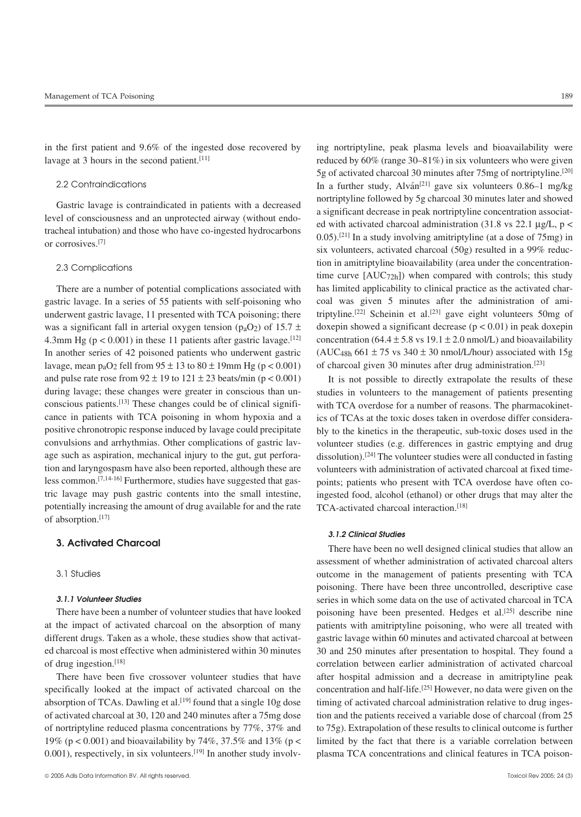in the first patient and 9.6% of the ingested dose recovered by ing nortriptyline, peak plasma levels and bioavailability were lavage at 3 hours in the second patient.<sup>[11]</sup> reduced by 60% (range 30–81%) in six volunteers who were given

gastric lavage. In a series of 55 patients with self-poisoning who coal was given 5 minutes after the administration of amiunderwent gastric lavage, 11 presented with TCA poisoning; there triptyline.<sup>[22]</sup> Scheinin et al.<sup>[23]</sup> gave eight volunteers 50mg of was a significant fall in arterial oxygen tension (p<sub>a</sub>O<sub>2</sub>) of 15.7  $\pm$  doxepin showed a significant decrease (p < 0.01) in peak doxepin 4.3mm Hg (p < 0.001) in these 11 patients after gastric lavage. [12] concentration (64.4 ± 5.8 vs 19.1 ± 2.0 nmol/L) and bioavailability In another series of 42 poisoned patients who underwent gastric  $(AUC_{48h} 661 \pm 75 \text{ vs } 340 \pm 30 \text{ nmol/L/hour})$  associated with 15g lavage, mean p<sub>a</sub>O<sub>2</sub> fell from  $95 \pm 13$  to  $80 \pm 19$ mm Hg (p < 0.001) of charcoal given 30 minutes after drug administration.<sup>[23]</sup> and pulse rate rose from  $92 \pm 19$  to  $121 \pm 23$  beats/min ( $p < 0.001$ ) It is not possible to directly extrapolate the results of these during lavage; these changes were greater in conscious than un-<br>studies in volunteers to the management of patients presenting conscious patients.<sup>[13]</sup> These changes could be of clinical signifi- with TCA overdose for a number of reasons. The pharmacokinetcance in patients with TCA poisoning in whom hypoxia and a ics of TCAs at the toxic doses taken in overdose differ considerapositive chronotropic response induced by lavage could precipitate bly to the kinetics in the therapeutic, sub-toxic doses used in the convulsions and arrhythmias. Other complications of gastric lav- volunteer studies (e.g. differences in gastric emptying and drug age such as aspiration, mechanical injury to the gut, gut perfora-<br>dissolution).<sup>[24]</sup> The volunteer studies were all conducted in fasting tion and laryngospasm have also been reported, although these are volunteers with administration of activated charcoal at fixed time-<br>less common.<sup>[7,14-16]</sup> Furthermore, studies have suggested that gas-<br>points: patients w less common.<sup>[7,14-16]</sup> Furthermore, studies have suggested that gas-<br>tric lavage may push gastric contents into the small intestine, invested food, alcohol (ethanol) or other drugs that may alter the potentially increasing the amount of drug available for and the rate TCA-activated charcoal interaction.[18] of absorption.<sup>[17]</sup>

0.001), respectively, in six volunteers.<sup>[19]</sup> In another study involv- plasma TCA concentrations and clinical features in TCA poison-

5g of activated charcoal 30 minutes after 75mg of nortriptyline.<sup>[20]</sup> 2.2 Contraindications In a further study,  $\text{A} \text{I} \text{v} \text{a} \text{I} \text{v}$  gave six volunteers 0.86–1 mg/kg Gastric lavage is contraindicated in patients with a decreased<br>level of consciousness and an unprotected airway (without endo-<br>tracheal intubation) and those who have co-ingested hydrocarbons<br>or corrosives.<sup>[7]</sup> or corros six volunteers, activated charcoal (50g) resulted in a 99% reduc-2.3 Complications tion in amitriptyline bioavailability (area under the concentration-<br>time curve  $[AUC72h]$ ) when compared with controls; this study There are a number of potential complications associated with has limited applicability to clinical practice as the activated char-

ingested food, alcohol (ethanol) or other drugs that may alter the

## *3.1.2 Clinical Studies*

**3. Activated Charcoal** There have been no well designed clinical studies that allow an assessment of whether administration of activated charcoal alters 3.1 Studies outcome in the management of patients presenting with TCA poisoning. There have been three uncontrolled, descriptive case *3.1.1 Volunteer Studies* series in which some data on the use of activated charcoal in TCA There have been a number of volunteer studies that have looked poisoning have been presented. Hedges et al.<sup>[25]</sup> describe nine at the impact of activated charcoal on the absorption of many patients with amitriptyline poisoning, who were all treated with different drugs. Taken as a whole, these studies show that activat-<br>gastric lavage within 60 minutes and activated charcoal at between ed charcoal is most effective when administered within 30 minutes 30 and 250 minutes after presentation to hospital. They found a of drug ingestion.[18] correlation between earlier administration of activated charcoal There have been five crossover volunteer studies that have after hospital admission and a decrease in amitriptyline peak specifically looked at the impact of activated charcoal on the concentration and half-life.<sup>[25]</sup> However, no data were given on the absorption of TCAs. Dawling et al.<sup>[19]</sup> found that a single 10g dose timing of activated charcoal administration relative to drug ingesof activated charcoal at 30, 120 and 240 minutes after a 75mg dose tion and the patients received a variable dose of charcoal (from 25 of nortriptyline reduced plasma concentrations by 77%, 37% and to 75g). Extrapolation of these results to clinical outcome is further 19% (p < 0.001) and bioavailability by 74%, 37.5% and 13% (p < limited by the fact that there is a variable correlation between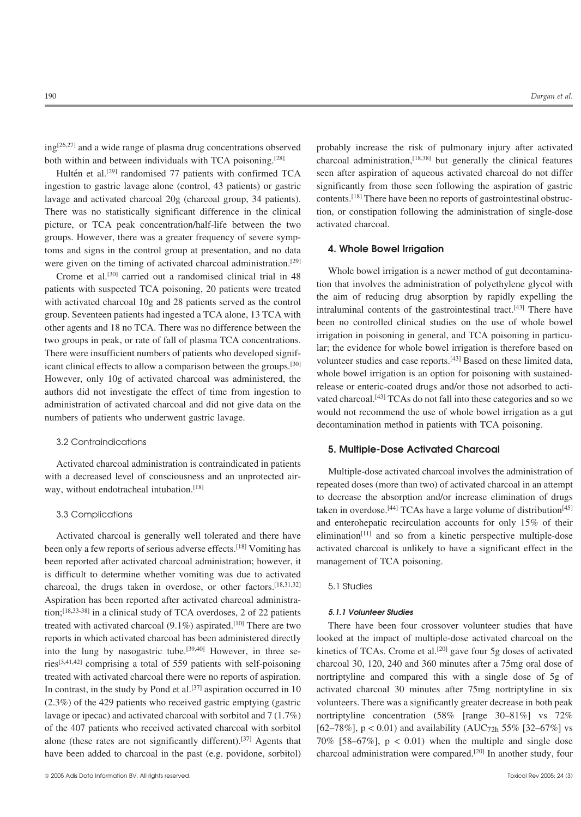$ing^{[26,27]}$  and a wide range of plasma drug concentrations observed probably increase the risk of pulmonary injury after activated

ingestion to gastric lavage alone (control, 43 patients) or gastric significantly from those seen following the aspiration of gastric lavage and activated charcoal  $20g$  (charcoal group, 34 patients). contents.<sup>[18]</sup> There have been no reports of gastrointestinal obstruc-There was no statistically significant difference in the clinical tion, or constipation following the administration of single-dose picture, or TCA peak concentration/half-life between the two activated charcoal. groups. However, there was a greater frequency of severe symptoms and signs in the control group at presentation, and no data **4. Whole Bowel Irrigation** were given on the timing of activated charcoal administration.<sup>[29]</sup>

patients with suspected TCA poisoning, 20 patients were treated<br>with activated charcoal 10g and 28 patients served as the control<br>group. Seventeen patients had ingested a TCA alone, 13 TCA with<br>diraluminal contents of the

## 3.2 Contraindications

Activated charcoal administration is contraindicated in patients<br>with a decreased level of consciousness and an unprotected air-<br>way, without endotracheal intubation.<sup>[18]</sup> repeated doses (more than two) of activated charc

## 3.3 Complications

been only a few reports of serious adverse effects.<sup>[18]</sup> Vomiting has activated charcoal is unlikely to have a significant effect in the been reported after activated charcoal administration; however, it management of TCA poisoning. is difficult to determine whether vomiting was due to activated charcoal, the drugs taken in overdose, or other factors.  $[18,31,32]$  5.1 Studies Aspiration has been reported after activated charcoal administration;<sup>[18,33-38]</sup> in a clinical study of TCA overdoses, 2 of 22 patients **5.1.1 Volunteer Studies** treated with activated charcoal (9.1%) aspirated.<sup>[10]</sup> There are two There have been four crossover volunteer studies that have reports in which activated charcoal has been administered directly looked at the impact of multiple-dose activated charcoal on the into the lung by nasogastric tube.<sup>[39,40]</sup> However, in three se-<br>kinetics of TCAs. Crome e ries[3,41,42] comprising a total of 559 patients with self-poisoning charcoal 30, 120, 240 and 360 minutes after a 75mg oral dose of treated with activated charcoal there were no reports of aspiration. nortriptyline and compared this with a single dose of 5g of In contrast, in the study by Pond et al.<sup>[37]</sup> aspiration occurred in 10 activated charcoal 30 minutes after 75mg nortriptyline in six (2.3%) of the 429 patients who received gastric emptying (gastric volunteers. There was a significantly greater decrease in both peak lavage or ipecac) and activated charcoal with sorbitol and 7 (1.7%) nortriptyline concentration (58% [range 30–81%] vs 72% of the 407 patients who received activated charcoal with sorbitol  $[62–78\%]$ , p < 0.01) and availability (AUC72h 55%  $[32–67\%]$  vs alone (these rates are not significantly different).<sup>[37]</sup> Agents that 70% [58–67%],  $p < 0.01$ ) when the multiple and single dose have been added to charcoal in the past (e.g. povidone, sorbitol) charcoal administration were compared.<sup>[20]</sup> In another study, four

both within and between individuals with TCA poisoning.<sup>[28]</sup> charcoal administration,<sup>[18,38]</sup> but generally the clinical features Hultén et al.<sup>[29]</sup> randomised 77 patients with confirmed TCA seen after aspiration of aqueous activated charcoal do not differ

Crome et al.<sup>[30]</sup> carried out a randomised clinical trial in 48 Whole bowel irrigation is a newer method of gut decontamina-<br>Crome et al.<sup>[30]</sup> carried out a randomised clinical trial in 48 tion that involves the administ However, only 10g of activated charcoal was administered, the<br>authors did not investigate the effect of time from ingestion to<br>administration of activated charcoal and did not give data on the<br>numbers of patients who under

## **5. Multiple-Dose Activated Charcoal**

to decrease the absorption and/or increase elimination of drugs taken in overdose.<sup>[44]</sup> TCAs have a large volume of distribution<sup>[45]</sup> and enterohepatic recirculation accounts for only 15% of their Activated charcoal is generally well tolerated and there have elimination<sup>[11]</sup> and so from a kinetic perspective multiple-dose

kinetics of TCAs. Crome et al.<sup>[20]</sup> gave four 5g doses of activated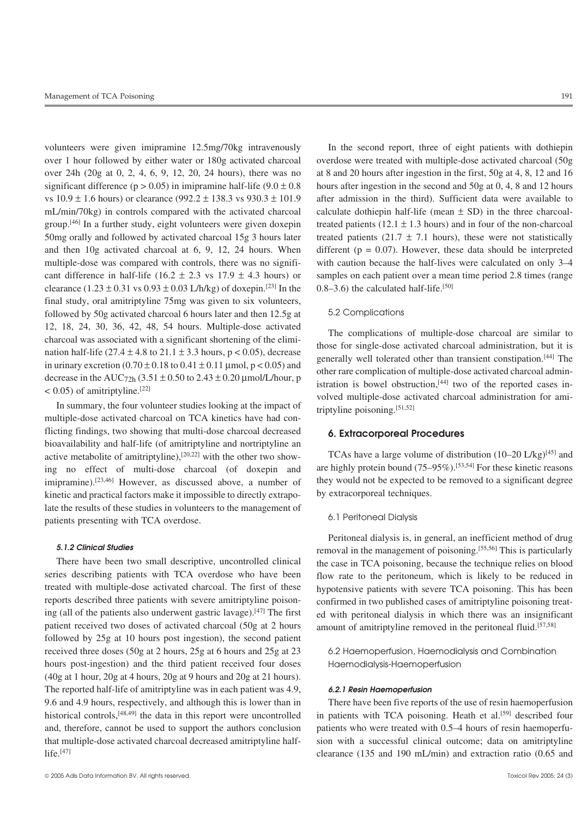volunteers were given imipramine 12.5mg/70kg intravenously In the second report, three of eight patients with dothiepin over 1 hour followed by either water or 180g activated charcoal overdose were treated with multiple-dose activated charcoal (50g over 24h (20g at 0, 2, 4, 6, 9, 12, 20, 24 hours), there was no at 8 and 20 hours after ingestion in the first, 50g at 4, 8, 12 and 16 significant difference ( $p > 0.05$ ) in imipramine half-life ( $9.0 \pm 0.8$  hours after ingestion in the second and 50g at 0, 4, 8 and 12 hours vs  $10.9 \pm 1.6$  hours) or clearance (992.2  $\pm$  138.3 vs 930.3  $\pm$  101.9 after admission in the third). Sufficient data were available to mL/min/70kg) in controls compared with the activated charcoal calculate dothiepin half-life (mean  $\pm$  SD) in the three charcoalgroup.<sup>[46]</sup> In a further study, eight volunteers were given doxepin treated patients (12.1  $\pm$  1.3 hours) and in four of the non-charcoal 50mg orally and followed by activated charcoal 15g 3 hours later treated patients (21.7  $\pm$  7.1 hours), these were not statistically and then 10g activated charcoal at 6, 9, 12, 24 hours. When different ( $p = 0.07$ ). However, these data should be interpreted multiple-dose was compared with controls, there was no signifi- with caution because the half-lives were calculated on only 3–4 cant difference in half-life (16.2  $\pm$  2.3 vs 17.9  $\pm$  4.3 hours) or samples on each patient over a mean time period 2.8 times (range clearance  $(1.23 \pm 0.31 \text{ vs } 0.93 \pm 0.03 \text{ L/h/kg})$  of doxepin.<sup>[23]</sup> In the 0.8–3.6) the calculated half-life.<sup>[50]</sup> final study, oral amitriptyline 75mg was given to six volunteers, followed by 50g activated charcoal 6 hours later and then 12.5g at 5.2 Complications 12, 18, 24, 30, 36, 42, 48, 54 hours. Multiple-dose activated<br>charcoal was associated with a significant shortening of the elimi-<br>nation half-life (27.4 ± 4.8 to 21.1 ± 3.3 hours, p < 0.05), decrease<br>in urinary excretion

multiple-dose activated charcoal on TCA kinetics have had conflicting findings, two showing that multi-dose charcoal decreased **6. Extracorporeal Procedures** bioavailability and half-life (of amitriptyline and nortriptyline an active metabolite of amitriptyline),<sup>[20,22]</sup> with the other two show-<br>ine no effect of multi-dose charcoal (of doxenin and are highly protein bound (75–95%).<sup>[53,54]</sup> For these kinetic reasons ing no effect of multi-dose charcoal (of doxepin and are highly protein bound  $(75-95\%)$ .<sup>[53,54]</sup> For these kinetic reasons impromine).<sup>[23,46]</sup> However, as discussed above, a number of they would not be expected to be r imipramine).<sup>[23,46]</sup> However, as discussed above, a number of kinetic and practical factors make it impossible to directly extrapo-<br>by extracorporeal techniques. late the results of these studies in volunteers to the management of patients presenting with TCA overdose. 6.1 Perifoneal Dialysis

series describing patients with TCA overdose who have been flow rate to the peritoneum, which is likely to be reduced in treated with multiple-dose activated charcoal. The first of these hypotensive patients with severe TCA poisoning. This has been<br>reports described three patients with severe amitriptyline poison-<br>confirmed in two published ing (all of the patients also underwent gastric lavage).<sup>[47]</sup> The first ed with peritoneal dialysis in which there was an insignificant patient received two doses of activated charcoal (50g at 2 hours amount of amitriptyline removed in the peritoneal fluid.<sup>[57,58]</sup> followed by 25g at 10 hours post ingestion), the second patient received three doses (50g at 2 hours, 25g at 6 hours and 25g at 23 6.2 Haemoperfusion, Haemodialysis and Combination hours post-ingestion) and the third patient received four doses Haemodialysis-Haemoperfusion (40g at 1 hour, 20g at 4 hours, 20g at 9 hours and 20g at 21 hours). The reported half-life of amitriptyline was in each patient was 4.9, *6.2.1 Resin Haemoperfusion* 9.6 and 4.9 hours, respectively, and although this is lower than in There have been five reports of the use of resin haemoperfusion historical controls,<sup>[48,49]</sup> the data in this report were uncontrolled in patients with TCA poisoning. Heath et al.<sup>[59]</sup> described four and, therefore, cannot be used to support the authors conclusion patients who were treated with 0.5–4 hours of resin haemoperfuthat multiple-dose activated charcoal decreased amitriptyline half- sion with a successful clinical outcome; data on amitriptyline life.[47] clearance (135 and 190 mL/min) and extraction ratio (0.65 and

 $\times$  0.05) of amitriptyline.<sup>[22]</sup><br>In summary, the four volunteer studies looking at the impact of  $\times$  volved multiple-dose activated charcoal administration for ami-<br>triptyline poisoning.<sup>[51,52]</sup>

Peritoneal dialysis is, in general, an inefficient method of drug *5.1.2 Clinical Studies* removal in the management of poisoning.[55,56] This is particularly There have been two small descriptive, uncontrolled clinical the case in TCA poisoning, because the technique relies on blood confirmed in two published cases of amitriptyline poisoning treat-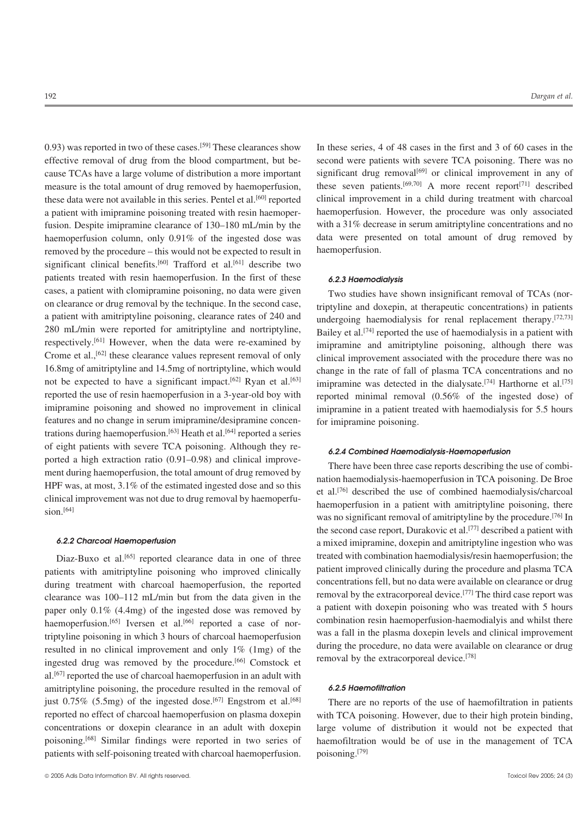0.93) was reported in two of these cases.<sup>[59]</sup> These clearances show In these series, 4 of 48 cases in the first and 3 of 60 cases in the effective removal of drug from the blood compartment, but be- second were patients with severe TCA poisoning. There was no cause TCAs have a large volume of distribution a more important significant drug removal<sup>[69]</sup> or clinical improvement in any of measure is the total amount of drug removed by haemoperfusion, these seven patients.<sup>[69,70]</sup> A more recent report<sup>[71]</sup> described these data were not available in this series. Pentel et al.<sup>[60]</sup> reported clinical improvement in a child during treatment with charcoal a patient with imipramine poisoning treated with resin haemoper- haemoperfusion. However, the procedure was only associated fusion. Despite imipramine clearance of 130–180 mL/min by the with a 31% decrease in serum amitriptyline concentrations and no haemoperfusion column, only 0.91% of the ingested dose was data were presented on total amount of drug removed by removed by the procedure – this would not be expected to result in haemoperfusion. significant clinical benefits.<sup>[60]</sup> Trafford et al.<sup>[61]</sup> describe two patients treated with resin haemoperfusion. In the first of these *6.2.3 Haemodialysis* cases, a patient with clomipramine poisoning, no data were given Two studies have shown insignificant removal of TCAs (noron clearance or drug removal by the technique. In the second case, triptyline and doxepin, at therapeutic concentrations) in patients a patient with amitriptyline poisoning, clearance rates of 240 and undergoing haemodial a patient with amitriptyline poisoning, clearance rates of 240 and undergoing haemodialysis for renal replacement therapy.<sup>[72,73]</sup><br>280 mL/min were reported for amitriptyline and nortriptyline, pailey et al.<sup>[74]</sup> reporte 280 mL/min were reported for amitriptyline and nortriptyline, Bailey et al.<sup>[74]</sup> reported the use of haemodialysis in a patient with respectively.<sup>[61]</sup> However, when the data were re-examined by iming and amitriptyline respectively.<sup>[61]</sup> However, when the data were re-examined by imipramine and amitriptyline poisoning, although there was Crome et al.,<sup>[62]</sup> these clearance values represent removal of only clinical improvement associate Crome et al.,<sup>[62]</sup> these clearance values represent removal of only clinical improvement associated with the procedure there was no<br>16.8mg of amitriptyline and 14.5mg of nortriptyline, which would change in the rate of fa 16.8mg of amitriptyline and 14.5mg of nortriptyline, which would change in the rate of fall of plasma TCA concentrations and no not be expected to have a significant impact.<sup>[62]</sup> Ryan et al.<sup>[63]</sup> iminramine was detected not be expected to have a significant impact.<sup>[62]</sup> Ryan et al.<sup>[63]</sup> imipramine was detected in the dialysate.<sup>[74]</sup> Harthorne et al.<sup>[75]</sup> reported the use of resin haemoperfusion in a 3-year-old boy with reported minim imipramine poisoning and showed no improvement in clinical imipramine in a patient treated with haemodialysis for 5.5 hours features and no change in serum imipramine/desipramine concen- for imipramine poisoning. trations during haemoperfusion.<sup>[63]</sup> Heath et al.<sup>[64]</sup> reported a series of eight patients with severe TCA poisoning. Although they re-<br>ported a high extraction ratio (0.91–0.98) and clinical improveported a high extraction ratio (0.91–0.98) and clinical improve-<br>ment during haemoperfusion, the total amount of drug removed by<br>HPF was, at most, 3.1% of the estimated ingested dose and so this<br>clinical improvement was n

resulted in no clinical improvement and only  $1\%$  (1mg) of the ingested drug was removed by the procedure.[66] Comstock et al.[67] reported the use of charcoal haemoperfusion in an adult with amitriptyline poisoning, the procedure resulted in the removal of *6.2.5 Haemofiltration* just 0.75% (5.5mg) of the ingested dose.<sup>[67]</sup> Engstrom et al.<sup>[68]</sup> There are no reports of the use of haemofiltration in patients patients with self-poisoning treated with charcoal haemoperfusion. poisoning.<sup>[79]</sup>

reported minimal removal  $(0.56\%$  of the ingested dose) of

was no significant removal of amitriptyline by the procedure.<sup>[76]</sup> In the second case report, Durakovic et al.<sup>[77]</sup> described a patient with **6.2.2 Charcoal Haemoperfusion** a mixed imipramine, doxepin and amitriptyline ingestion who was Diaz-Buxo et al.<sup>[65]</sup> reported clearance data in one of three treated with combination haemodialysis/resin haemoperfusion; the reported view patient improved clinically ultimate procedure and plasma TCA patients with amitriptyline poisoning who improved clinically patient improved clinically during the procedure and plasma TCA<br>during treatment with charcoal baemoperfusion, the reported concentrations fell, but no data wer during treatment with charcoal haemoperfusion, the reported concentrations fell, but no data were available on clearance or drug degree and the clear treatment with charcoal haemoperfusion, the reported removal by the extr clearance was 100–112 mL/min but from the data given in the removal by the extracorporeal device.<sup>[77]</sup> The third case report was paper only 0.1% (4.4 mg) of the ingested dose was removed by a patient with doxepin poisoni paper only 0.1% (4.4mg) of the ingested dose was removed by a patient with doxepin poisoning who was treated with 5 hours paper only 0.1% (4.4mg) of the ingested dose was removed by a patient with doxepin poisoning who wa haemoperfusion.<sup>[65]</sup> Iversen et al.<sup>[66]</sup> reported a case of nor-<br>triptyling poisoning in which 3 hours of abaronal haemoperfusion. Was a fall in the plasma doxepin levels and clinical improvement triptyline poisoning in which 3 hours of charcoal haemoperfusion was a fall in the plasma doxepin levels and clinical improvement triptyline poisoning in which 3 hours of charcoal haemoperfusion was a fall in the plasma do removal by the extracorporeal device.[78]

reported no effect of charcoal haemoperfusion on plasma doxepin with TCA poisoning. However, due to their high protein binding, concentrations or doxepin clearance in an adult with doxepin large volume of distribution it would not be expected that poisoning.[68] Similar findings were reported in two series of haemofiltration would be of use in the management of TCA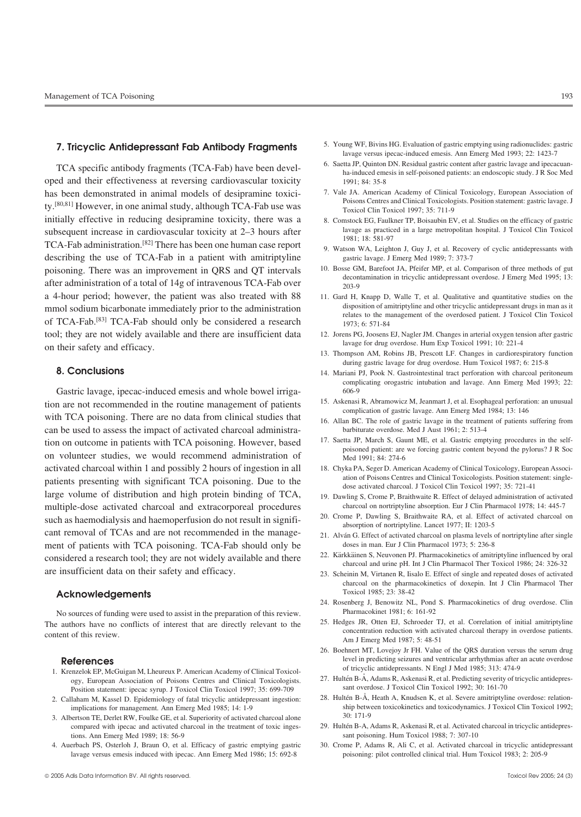oped and their effectiveness at reversing cardiovascular toxicity 1991; 84: 35-8 has been demonstrated in animal models of desipramine toxici-<br>
<sup>1</sup>. Vale JA. American Academy of Clinical Toxicologists Position statement: gastric lavage. J<br>
<sup>1</sup>. To the Linical Toxicologists and Clinical Toxicologists. P Poisons Centres and Clinical Toxicologists. Position statement: gastric lavage. J ty.[80,81] However, in one animal study, although TCA-Fab use was Toxicol Clin Toxicol 1997; 35: 711-9 initially effective in reducing desipramine toxicity, there was a 8. Comstock EG, Faulkner TP, Boisaubin EV, et al. Studies on the efficacy of gastric subsequent increase in cardiovascular toxicity at 2-3 hours after<br>
TCA-Fab administration.<sup>[82]</sup> There has been one human case report<br>
9. Watson WA, Leighton J, Guy J, et al. Recovery of cyclic antidepressants with describing the use of TCA-Fab in a patient with amitriptyline gastric lavage. J Emerg Med 1989; 7: 373-7 poisoning. There was an improvement in QRS and QT intervals<br>after administration of a total of 14g of intravenous TCA-Fab over<br>and  $\frac{10.88886 \text{ M}}{203-9}$  Base GM, Barefoot JA, Pfeifer MP, et al. Comparison of three meth a 4-hour period; however, the patient was also treated with 88 11. Gard H, Knapp D, Walle T, et al. Qualitative and quantitative studies on the mmol sodium bicarbonate immediately prior to the administration disposition of amitriptyline and other tricyclic antidepressant drugs in man as it of TCA-Fab.<sup>[83]</sup> TCA-Fab should only be considered a research  $1973$ ; 6: 571-84 tool; they are not widely available and there are insufficient data 12. Jorens PG, Joosens EJ, Nagler JM. Changes in arterial oxygen tension after gastric<br>and after gastric law are for drug overdose. Hum Exp Toxicol 1991; Iavage for drug overdose. Hum Exp Toxicol 1991; 10: 221-4<br>13. Thompson AM, Robins JB, Prescott LF. Changes in cardiorespiratory function

Gastric lavage, ipecac-induced emesis and whole bowel irriga- 606-9 15. Askenasi R, Abramowicz M, Jeanmart J, et al. Esophageal perforation: an unusual<br>14. To A patients complication of gastric lavage. Ann Emerg Med 1984; 13: 146<br>14. To A patients complication of gastric lavage. Ann Emerg with TCA poisoning. There are no data from clinical studies that 16. Allan BC. The role of gastric lavage in the treatment of patients suffering from can be used to assess the impact of activated charcoal administra- barbiturate overdose. Med J Aust 1961; 2: 513-4 tion on outcome in patients with TCA poisoning. However, based<br>on volunteer studies, we would recommend administration of<br>Med 1991: 84: 274-6<br>Med 1991: 84: 274-6 activated charcoal within 1 and possibly 2 hours of ingestion in all 18. Chyka PA, Seger D. American Academy of Clinical Toxicology, European Associpatients presenting with significant TCA poisoning. Due to the<br>large volume of distribution and high protein binding of TCA,<br>large volume of distribution and high protein binding of TCA,<br>large scription of Poisoning P. Bra multiple-dose activated charcoal and extracorporeal procedures charcoal on nortriptyline absorption. Eur J Clin Pharmacol 1978; 14: 445-7<br>cuch as haemodialysis and haemonerfusion do not result in signific 20. Crome P, Dawl 20. Crome P, Dawling S, Braithwaite RA, et al. Effect of activative RA, et al. Effect of activativative RA, et al. Effect absorption of nortriptyline. Lancet 1977; II: 1203-5 cant removal of TCAs and are not recommended in the manage-<br>21. Alván G. Effect of activated charcoal on plasma levels of nortriptyline after single ment of patients with TCA poisoning. TCA-Fab should only be doses in man. Eur J Clin Pharmacol 1973; 5: 236-8<br>
considered a research tool: they are not widely available and there 22. Kärkkäinen S, Neuvonen PJ. Pharmacokine considered a research tool; they are not widely available and there<br>are insufficient data on their safety and efficacy.<br>are insufficient data on their safety and efficacy.<br>23 Scheinin M Virtanen R Iisalo E Effect of single

## Acknowledgements

No sources of funding were used to assist in the preparation of this review.<br>Pharmacokinet 1981; 6: 161-92<br>equation of initial correlation of initial amitriptyline<br>equation of initial amitriptyline

- 1. Krenzelok EP, McGuigan M, Lheureux P. American Academy of Clinical Toxicol-<sup>27</sup>. Hultén B-Å, Adams R, Askenasi R, et al. Predicting severity of tricyclic antidepres-<br>
27. Hultén B-Å, Adams R, Askenasi R, et al. Predicting severity of tricyclic antidepres-<br> **Position statement** incege summer L Tox Position statement: ipecac syrup. J Toxicol Clin Toxicol 1997; 35: 699-709 sant overdose. J Toxicol Clin Toxicol 1992; 30: 161-70<br>Haham M. Kassel D. Epidemiology of fatal tricyclic antidepressant ingestion: 28. Hultén B-Å,
- 2. Callaham M, Kassel D. Epidemiology of fatal tricyclic antidepressant ingestion:
- 30: 171-9<br>
compared with ipecac and activated charcoal in the treatment of toxic inges-<br>
29. Hultén B-A, Adams R, Askenasi R, et al. Activated charcoal in tricyclic antidepres-<br>
29. Hultén B-A, Adams R, Askenasi R, et al. compared with ipecac and activated charcoal in the treatment of toxic inges-<br>
29. Hultén B-A, Adams R, Askenasi R, et al. Activated charcoal in the treatment of toxic inges-<br>
29. Hultén B-A, Adams R, Askenasi R, et al. Act tions. Ann Emerg Med 1989; 18: 56-9
- lavage versus emesis induced with ipecac. Ann Emerg Med 1986; 15: 692-8 poisoning: pilot controlled clinical trial. Hum Toxicol 1983; 2: 205-9
- 5. Young WF, Bivins HG. Evaluation of gastric emptying using radionuclides: gastric **7. Tricyclic Antidepressant Fab Antibody Fragments** lavage versus ipecac-induced emesis. Ann Emerg Med 1993; 22: 1423-7
- 6. Saetta JP, Quinton DN. Residual gastric content after gastric lavage and ipecacuan- TCA specific antibody fragments (TCA-Fab) have been devel- ha-induced emesis in self-poisoned patients: an endoscopic study. J R Soc Med
	-
	-
	-
	-
	- relates to the management of the overdosed patient. J Toxicol Clin Toxicol
	-
	- during gastric lavage for drug overdose. Hum Toxicol 1987; 6: 215-8
- **8. Conclusions** 14. Mariani PJ, Pook N. Gastrointestinal tract perforation with charcoal peritoneum complicating orogastric intubation and lavage. Ann Emerg Med 1993; 22:
	-
	-
	-
	-
	- 19. Dawling S, Crome P, Braithwaite R. Effect of delayed administration of activated
	-
	-
	-
	- 23. Scheinin M, Virtanen R, Iisalo E. Effect of single and repeated doses of activated charcoal on the pharmacokinetics of doxepin. Int J Clin Pharmacol Ther
	- 24. Rosenberg J, Benowitz NL, Pond S. Pharmacokinetics of drug overdose. Clin
- The authors have no conflicts of interest that are directly relevant to the<br>content of this review.<br>Am J Emerg Med 1987; 5: 48-51<br>Am J Emerg Med 1987; 5: 48-51
	- 26. Boehnert MT, Lovejoy Jr FH. Value of the QRS duration versus the serum drug **References**<br> **References**<br> **References**<br> **References**<br> **References**<br> **References**<br> **References**<br> **References**<br> **References**<br> **References**<br> **References**<br> **References**<br> **References**<br> **References**<br> **References**<br> **References** 
		-
		- implications for management. Ann Emerg Med 1985; 14: 1-9<br>
		aertean TE Derlet PW Foulke GE at al. Superiority of estivated charged alone 30: 171-9
			-
	- 4. Auerbach PS, Osterloh J, Braun O, et al. Efficacy of gastric emptying gastric 30. Crome P, Adams R, Ali C, et al. Activated charcoal in tricyclic antidepressant